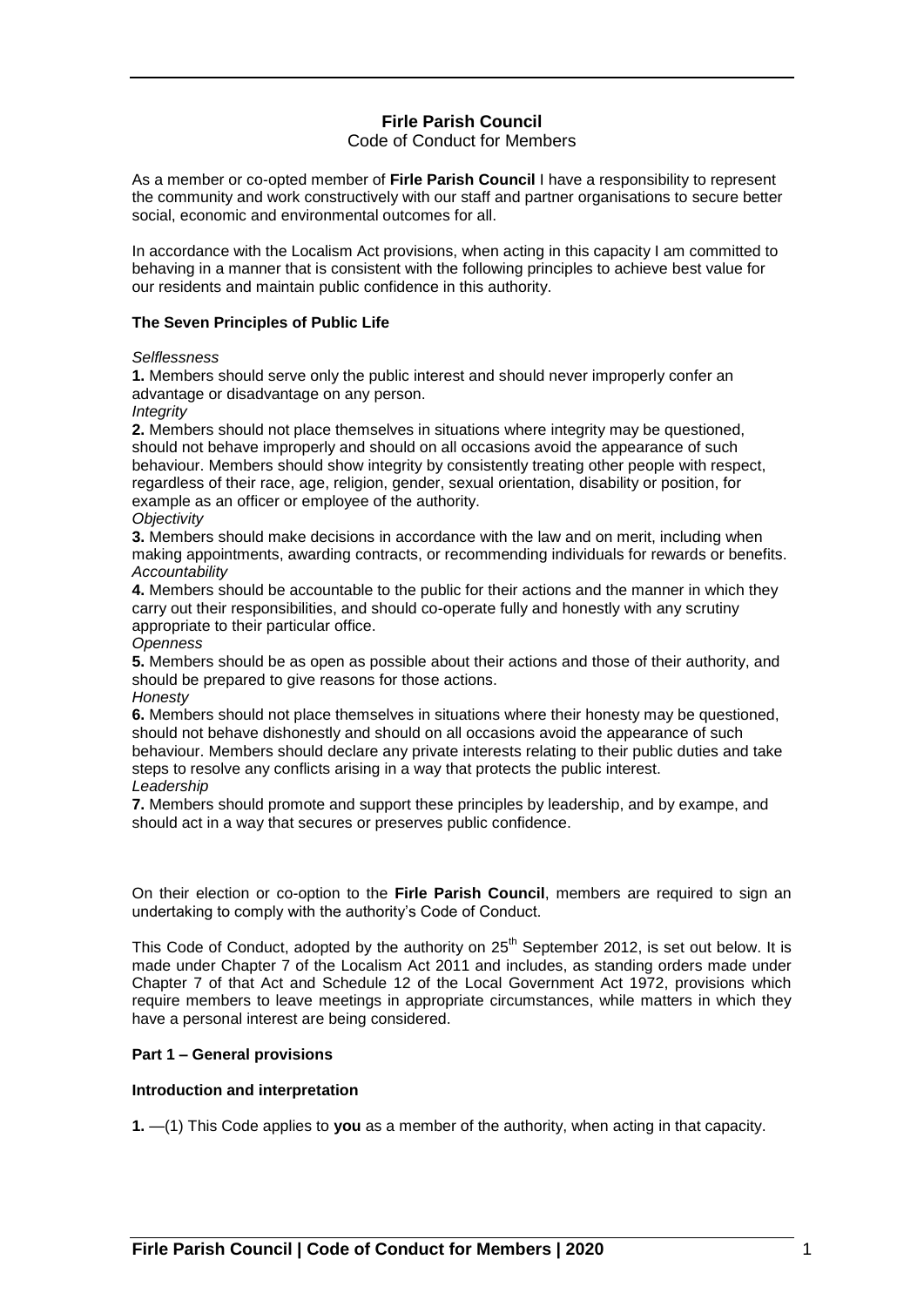# **Firle Parish Council**

# Code of Conduct for Members

As a member or co-opted member of **Firle Parish Council** I have a responsibility to represent the community and work constructively with our staff and partner organisations to secure better social, economic and environmental outcomes for all.

In accordance with the Localism Act provisions, when acting in this capacity I am committed to behaving in a manner that is consistent with the following principles to achieve best value for our residents and maintain public confidence in this authority.

### **The Seven Principles of Public Life**

### *Selflessness*

**1.** Members should serve only the public interest and should never improperly confer an advantage or disadvantage on any person.

### *Integrity*

**2.** Members should not place themselves in situations where integrity may be questioned, should not behave improperly and should on all occasions avoid the appearance of such behaviour. Members should show integrity by consistently treating other people with respect, regardless of their race, age, religion, gender, sexual orientation, disability or position, for example as an officer or employee of the authority. *Objectivity*

**3.** Members should make decisions in accordance with the law and on merit, including when making appointments, awarding contracts, or recommending individuals for rewards or benefits. *Accountability*

**4.** Members should be accountable to the public for their actions and the manner in which they carry out their responsibilities, and should co-operate fully and honestly with any scrutiny appropriate to their particular office.

### *Openness*

**5.** Members should be as open as possible about their actions and those of their authority, and should be prepared to give reasons for those actions.

### *Honesty*

**6.** Members should not place themselves in situations where their honesty may be questioned, should not behave dishonestly and should on all occasions avoid the appearance of such behaviour. Members should declare any private interests relating to their public duties and take steps to resolve any conflicts arising in a way that protects the public interest. *Leadership*

**7.** Members should promote and support these principles by leadership, and by exampe, and should act in a way that secures or preserves public confidence.

On their election or co-option to the **Firle Parish Council**, members are required to sign an undertaking to comply with the authority's Code of Conduct.

This Code of Conduct, adopted by the authority on 25<sup>th</sup> September 2012, is set out below. It is made under Chapter 7 of the Localism Act 2011 and includes, as standing orders made under Chapter 7 of that Act and Schedule 12 of the Local Government Act 1972, provisions which require members to leave meetings in appropriate circumstances, while matters in which they have a personal interest are being considered.

# **Part 1 – General provisions**

### **Introduction and interpretation**

**1.** —(1) This Code applies to **you** as a member of the authority, when acting in that capacity.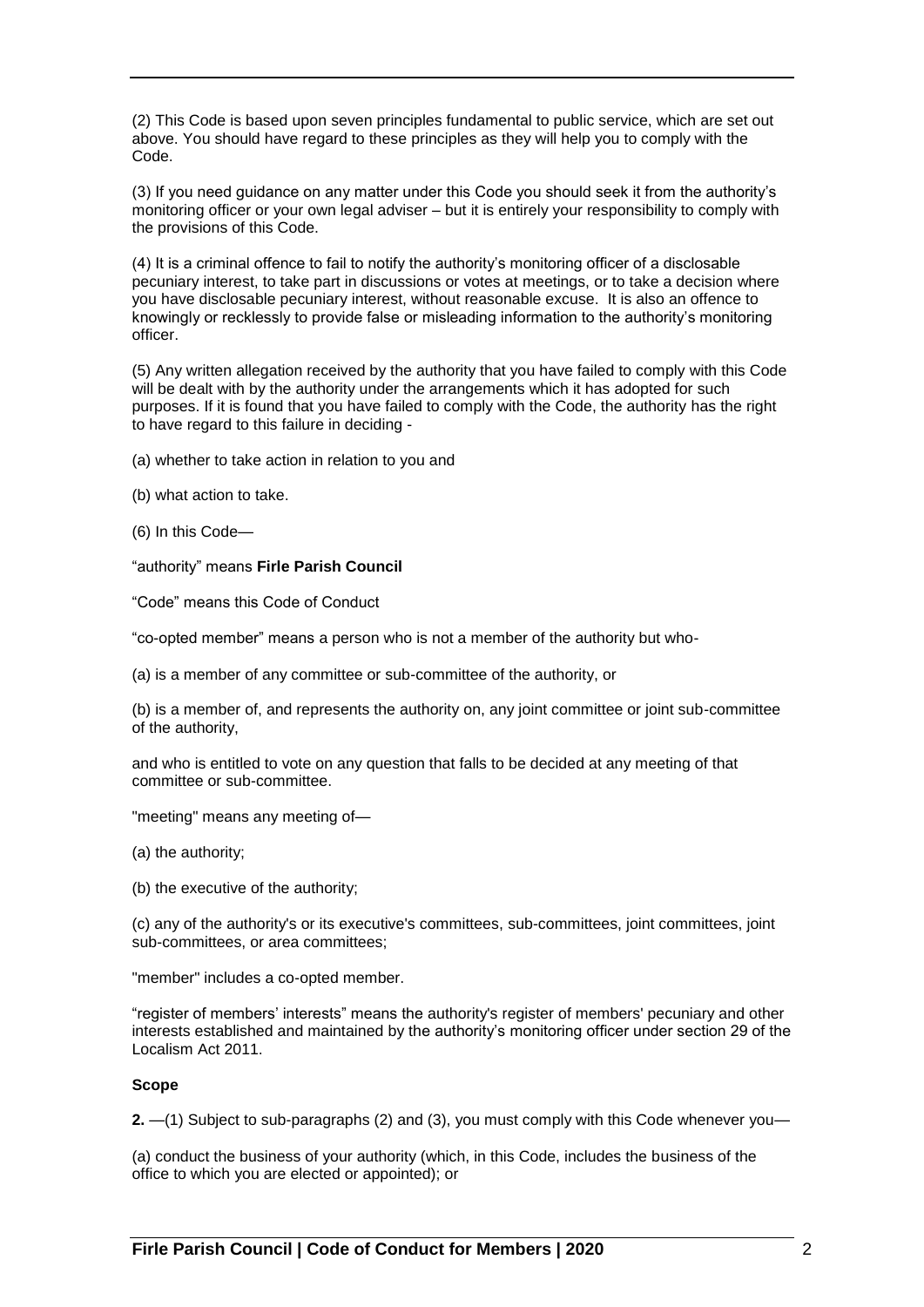(2) This Code is based upon seven principles fundamental to public service, which are set out above. You should have regard to these principles as they will help you to comply with the Code.

(3) If you need guidance on any matter under this Code you should seek it from the authority's monitoring officer or your own legal adviser – but it is entirely your responsibility to comply with the provisions of this Code.

(4) It is a criminal offence to fail to notify the authority's monitoring officer of a disclosable pecuniary interest, to take part in discussions or votes at meetings, or to take a decision where you have disclosable pecuniary interest, without reasonable excuse. It is also an offence to knowingly or recklessly to provide false or misleading information to the authority's monitoring officer.

(5) Any written allegation received by the authority that you have failed to comply with this Code will be dealt with by the authority under the arrangements which it has adopted for such purposes. If it is found that you have failed to comply with the Code, the authority has the right to have regard to this failure in deciding -

- (a) whether to take action in relation to you and
- (b) what action to take.
- (6) In this Code—

"authority" means **Firle Parish Council**

"Code" means this Code of Conduct

"co-opted member" means a person who is not a member of the authority but who-

(a) is a member of any committee or sub-committee of the authority, or

(b) is a member of, and represents the authority on, any joint committee or joint sub-committee of the authority,

and who is entitled to vote on any question that falls to be decided at any meeting of that committee or sub-committee.

"meeting" means any meeting of—

- (a) the authority;
- (b) the executive of the authority;

(c) any of the authority's or its executive's committees, sub-committees, joint committees, joint sub-committees, or area committees;

"member" includes a co-opted member.

"register of members' interests" means the authority's register of members' pecuniary and other interests established and maintained by the authority's monitoring officer under section 29 of the Localism Act 2011.

# **Scope**

**2.** —(1) Subject to sub-paragraphs (2) and (3), you must comply with this Code whenever you—

(a) conduct the business of your authority (which, in this Code, includes the business of the office to which you are elected or appointed); or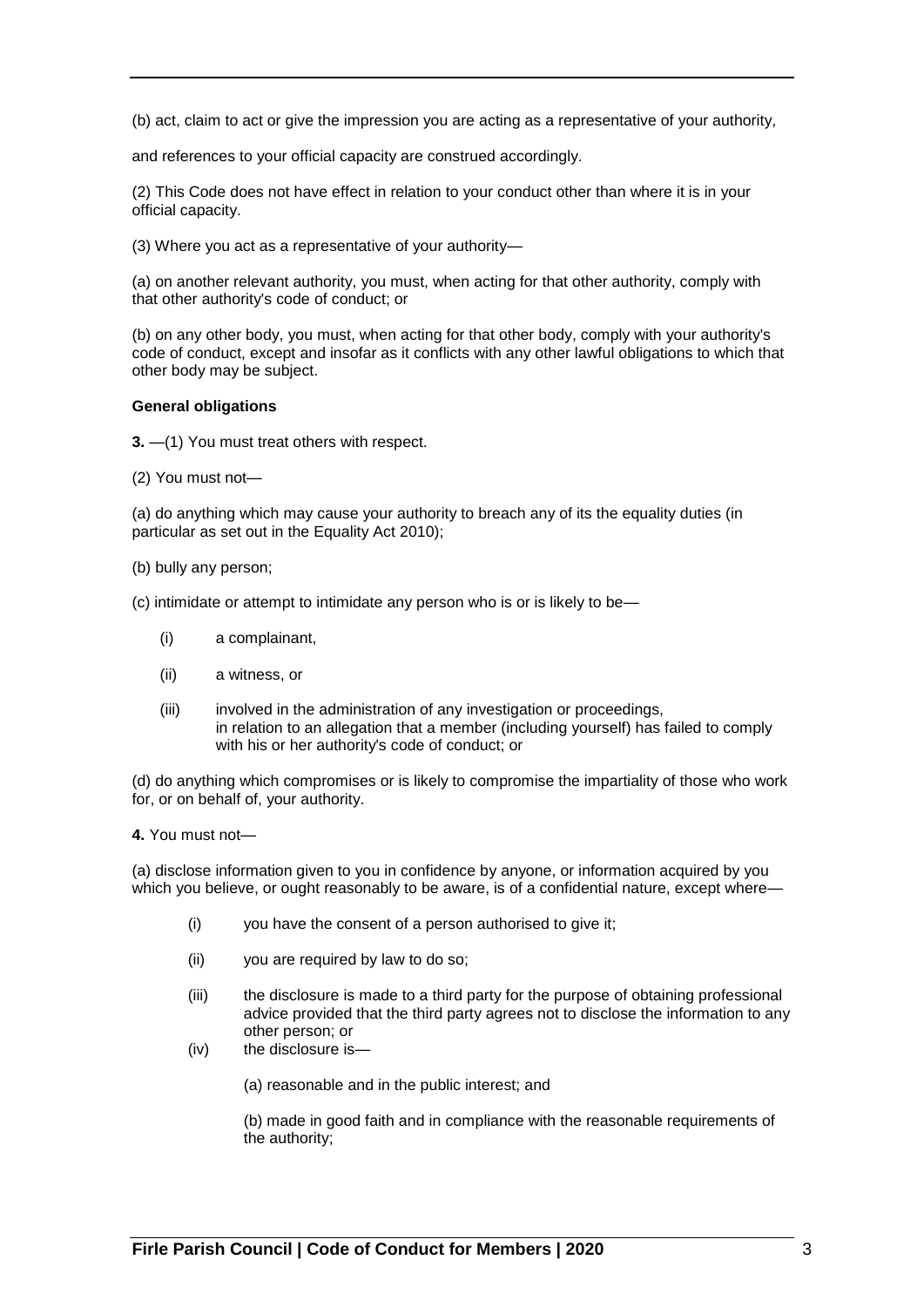(b) act, claim to act or give the impression you are acting as a representative of your authority,

and references to your official capacity are construed accordingly.

(2) This Code does not have effect in relation to your conduct other than where it is in your official capacity.

(3) Where you act as a representative of your authority—

(a) on another relevant authority, you must, when acting for that other authority, comply with that other authority's code of conduct; or

(b) on any other body, you must, when acting for that other body, comply with your authority's code of conduct, except and insofar as it conflicts with any other lawful obligations to which that other body may be subject.

### **General obligations**

**3.** —(1) You must treat others with respect.

(2) You must not—

(a) do anything which may cause your authority to breach any of its the equality duties (in particular as set out in the Equality Act 2010);

- (b) bully any person;
- (c) intimidate or attempt to intimidate any person who is or is likely to be—
	- (i) a complainant,
	- (ii) a witness, or
	- (iii) involved in the administration of any investigation or proceedings, in relation to an allegation that a member (including yourself) has failed to comply with his or her authority's code of conduct; or

(d) do anything which compromises or is likely to compromise the impartiality of those who work for, or on behalf of, your authority.

**4.** You must not—

(a) disclose information given to you in confidence by anyone, or information acquired by you which you believe, or ought reasonably to be aware, is of a confidential nature, except where—

- (i) you have the consent of a person authorised to give it;
- (ii) you are required by law to do so;
- (iii) the disclosure is made to a third party for the purpose of obtaining professional advice provided that the third party agrees not to disclose the information to any other person; or
- (iv) the disclosure is—

(a) reasonable and in the public interest; and

(b) made in good faith and in compliance with the reasonable requirements of the authority;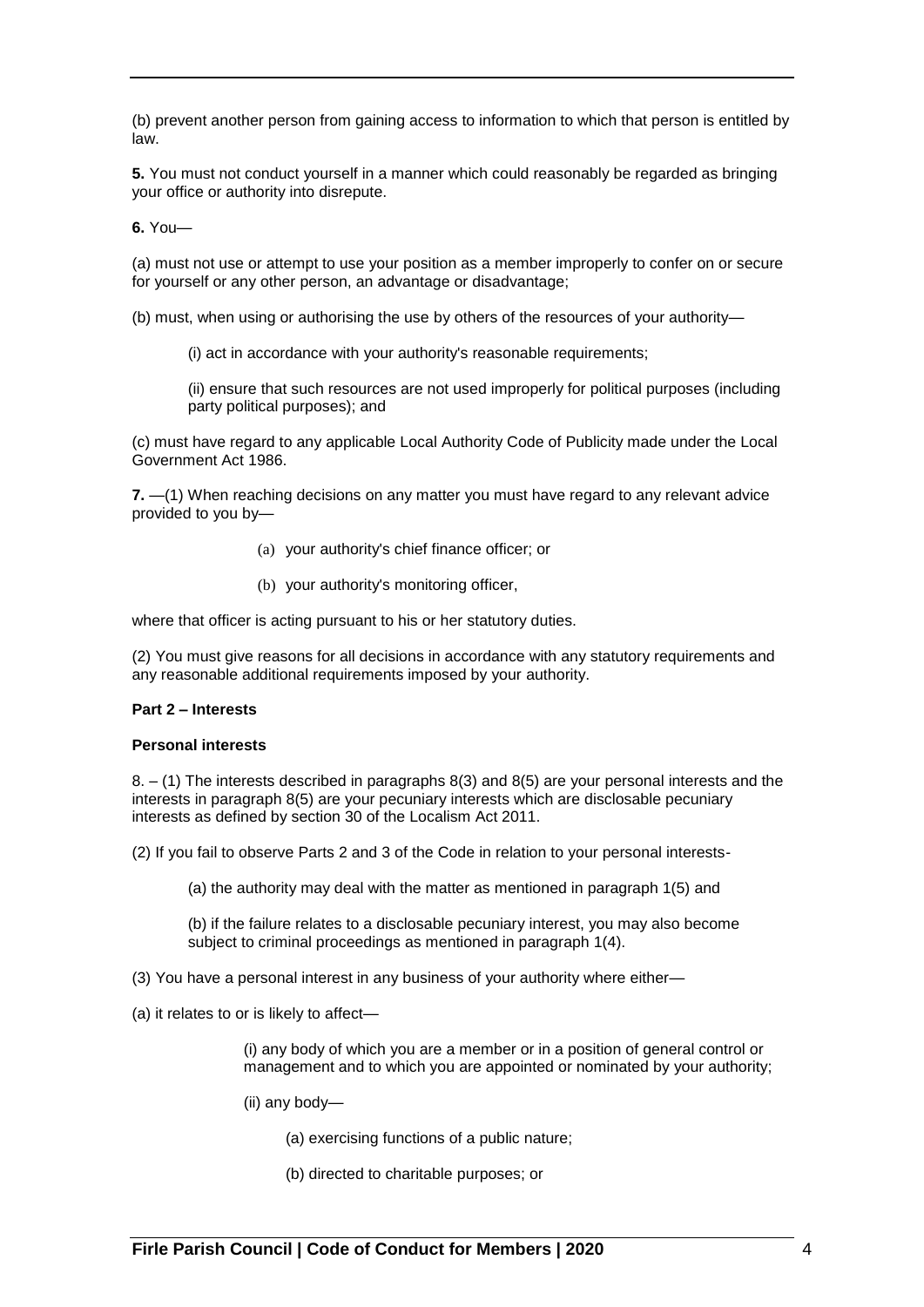(b) prevent another person from gaining access to information to which that person is entitled by law.

**5.** You must not conduct yourself in a manner which could reasonably be regarded as bringing your office or authority into disrepute.

**6.** You—

(a) must not use or attempt to use your position as a member improperly to confer on or secure for yourself or any other person, an advantage or disadvantage;

(b) must, when using or authorising the use by others of the resources of your authority—

(i) act in accordance with your authority's reasonable requirements;

(ii) ensure that such resources are not used improperly for political purposes (including party political purposes); and

(c) must have regard to any applicable Local Authority Code of Publicity made under the Local Government Act 1986.

**7.** —(1) When reaching decisions on any matter you must have regard to any relevant advice provided to you by—

- (a) your authority's chief finance officer; or
- (b) your authority's monitoring officer,

where that officer is acting pursuant to his or her statutory duties.

(2) You must give reasons for all decisions in accordance with any statutory requirements and any reasonable additional requirements imposed by your authority.

# **Part 2 – Interests**

### **Personal interests**

8. – (1) The interests described in paragraphs 8(3) and 8(5) are your personal interests and the interests in paragraph 8(5) are your pecuniary interests which are disclosable pecuniary interests as defined by section 30 of the Localism Act 2011.

(2) If you fail to observe Parts 2 and 3 of the Code in relation to your personal interests-

(a) the authority may deal with the matter as mentioned in paragraph 1(5) and

(b) if the failure relates to a disclosable pecuniary interest, you may also become subject to criminal proceedings as mentioned in paragraph 1(4).

(3) You have a personal interest in any business of your authority where either—

(a) it relates to or is likely to affect—

(i) any body of which you are a member or in a position of general control or management and to which you are appointed or nominated by your authority;

- (ii) any body—
	- (a) exercising functions of a public nature;
	- (b) directed to charitable purposes; or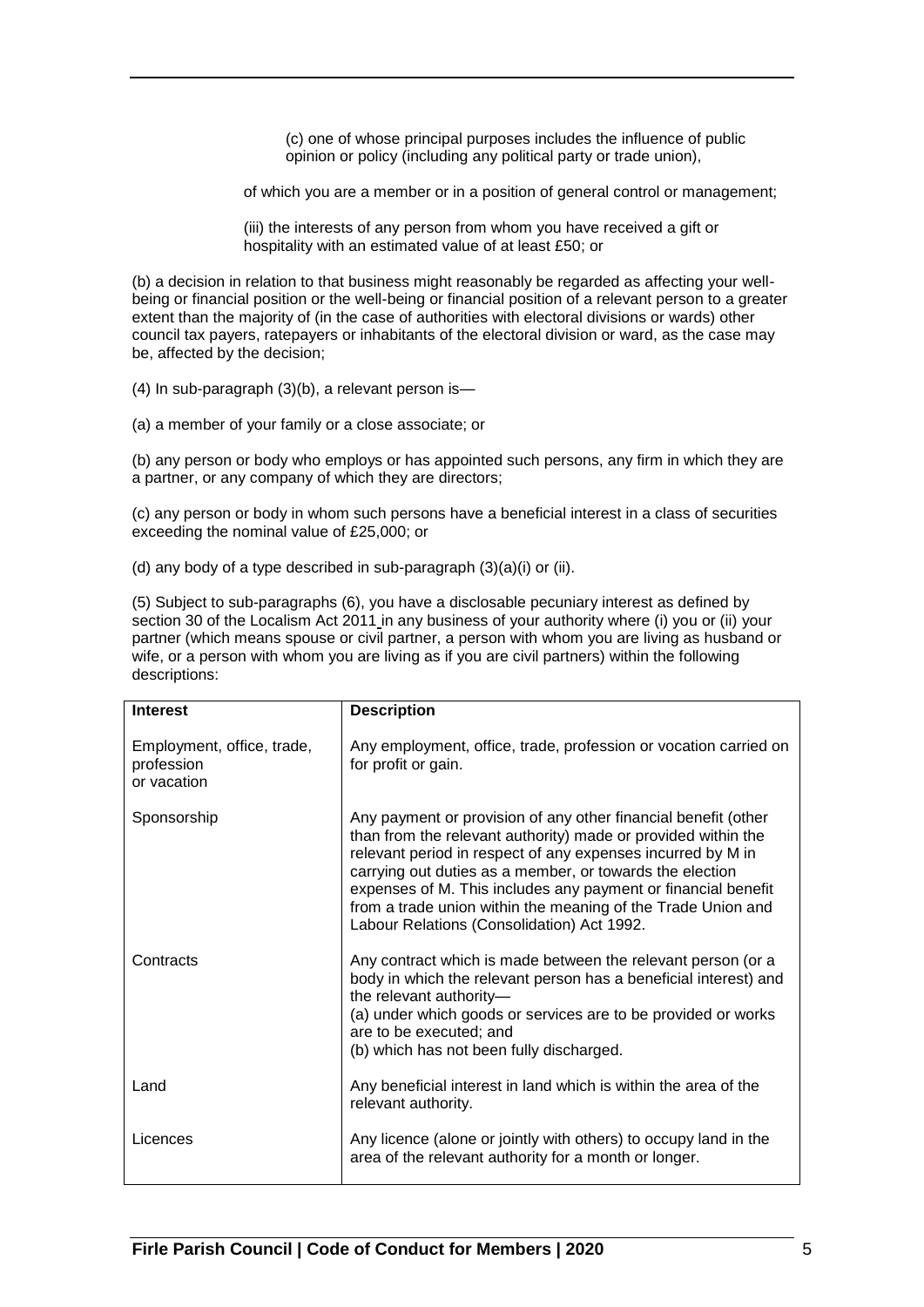(c) one of whose principal purposes includes the influence of public opinion or policy (including any political party or trade union),

of which you are a member or in a position of general control or management;

(iii) the interests of any person from whom you have received a gift or hospitality with an estimated value of at least £50; or

(b) a decision in relation to that business might reasonably be regarded as affecting your wellbeing or financial position or the well-being or financial position of a relevant person to a greater extent than the majority of (in the case of authorities with electoral divisions or wards) other council tax payers, ratepayers or inhabitants of the electoral division or ward, as the case may be, affected by the decision;

(4) In sub-paragraph (3)(b), a relevant person is—

(a) a member of your family or a close associate; or

(b) any person or body who employs or has appointed such persons, any firm in which they are a partner, or any company of which they are directors;

(c) any person or body in whom such persons have a beneficial interest in a class of securities exceeding the nominal value of £25,000; or

(d) any body of a type described in sub-paragraph (3)(a)(i) or (ii).

(5) Subject to sub-paragraphs (6), you have a disclosable pecuniary interest as defined by section 30 of the Localism Act 2011 in any business of your authority where (i) you or (ii) your partner (which means spouse or civil partner, a person with whom you are living as husband or wife, or a person with whom you are living as if you are civil partners) within the following descriptions:

| <b>Interest</b>                                         | <b>Description</b>                                                                                                                                                                                                                                                                                                                                                                                                                        |
|---------------------------------------------------------|-------------------------------------------------------------------------------------------------------------------------------------------------------------------------------------------------------------------------------------------------------------------------------------------------------------------------------------------------------------------------------------------------------------------------------------------|
| Employment, office, trade,<br>profession<br>or vacation | Any employment, office, trade, profession or vocation carried on<br>for profit or gain.                                                                                                                                                                                                                                                                                                                                                   |
| Sponsorship                                             | Any payment or provision of any other financial benefit (other<br>than from the relevant authority) made or provided within the<br>relevant period in respect of any expenses incurred by M in<br>carrying out duties as a member, or towards the election<br>expenses of M. This includes any payment or financial benefit<br>from a trade union within the meaning of the Trade Union and<br>Labour Relations (Consolidation) Act 1992. |
| Contracts                                               | Any contract which is made between the relevant person (or a<br>body in which the relevant person has a beneficial interest) and<br>the relevant authority-<br>(a) under which goods or services are to be provided or works<br>are to be executed; and<br>(b) which has not been fully discharged.                                                                                                                                       |
| Land                                                    | Any beneficial interest in land which is within the area of the<br>relevant authority.                                                                                                                                                                                                                                                                                                                                                    |
| Licences                                                | Any licence (alone or jointly with others) to occupy land in the<br>area of the relevant authority for a month or longer.                                                                                                                                                                                                                                                                                                                 |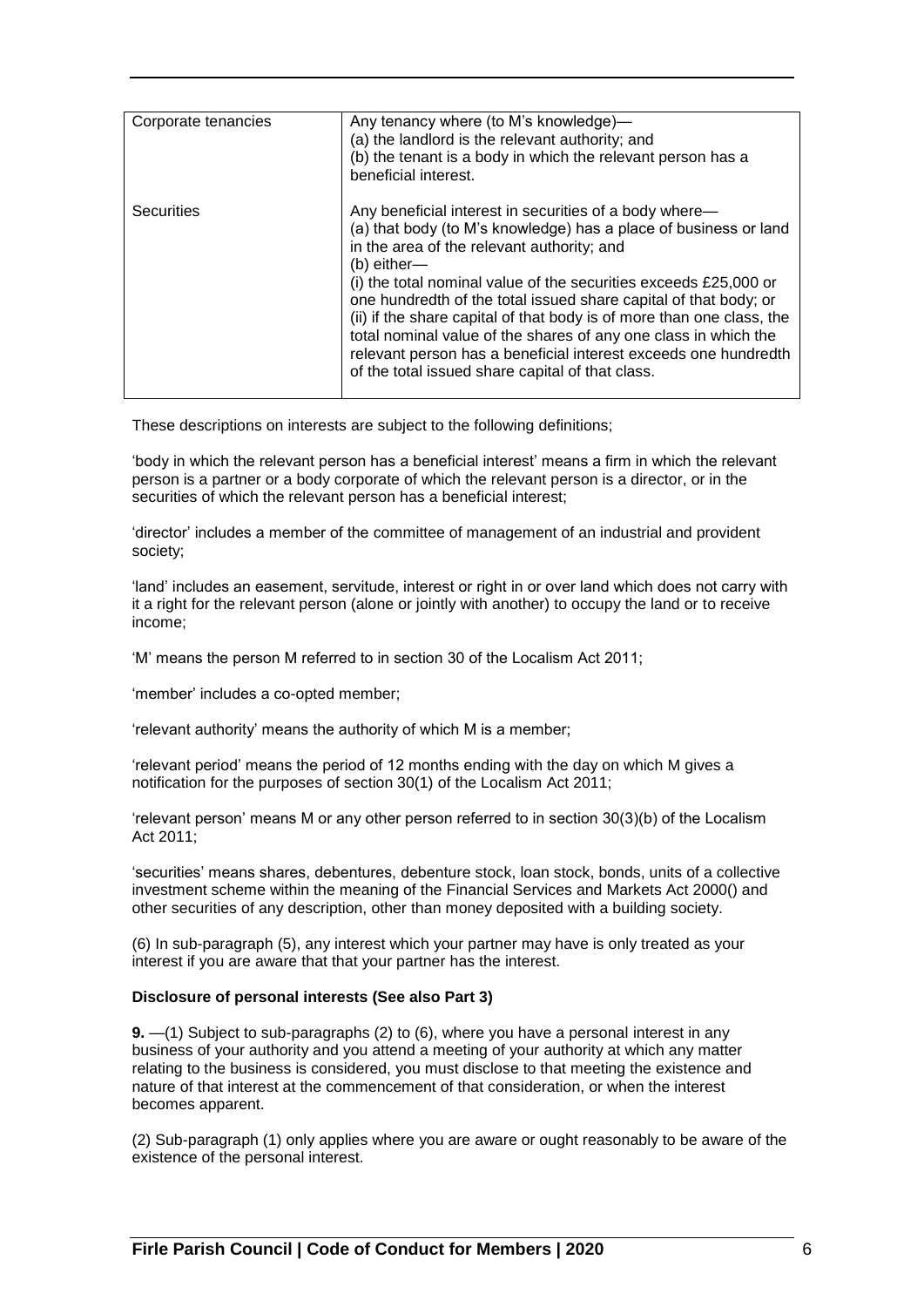| Corporate tenancies | Any tenancy where (to M's knowledge)-<br>(a) the landlord is the relevant authority; and<br>(b) the tenant is a body in which the relevant person has a<br>beneficial interest.                                                                                                                                                                                                                                                                                                                                                                                                                      |
|---------------------|------------------------------------------------------------------------------------------------------------------------------------------------------------------------------------------------------------------------------------------------------------------------------------------------------------------------------------------------------------------------------------------------------------------------------------------------------------------------------------------------------------------------------------------------------------------------------------------------------|
| Securities          | Any beneficial interest in securities of a body where—<br>(a) that body (to M's knowledge) has a place of business or land<br>in the area of the relevant authority; and<br>$(b)$ either-<br>(i) the total nominal value of the securities exceeds £25,000 or<br>one hundredth of the total issued share capital of that body; or<br>(ii) if the share capital of that body is of more than one class, the<br>total nominal value of the shares of any one class in which the<br>relevant person has a beneficial interest exceeds one hundredth<br>of the total issued share capital of that class. |

These descriptions on interests are subject to the following definitions;

'body in which the relevant person has a beneficial interest' means a firm in which the relevant person is a partner or a body corporate of which the relevant person is a director, or in the securities of which the relevant person has a beneficial interest;

'director' includes a member of the committee of management of an industrial and provident society;

'land' includes an easement, servitude, interest or right in or over land which does not carry with it a right for the relevant person (alone or jointly with another) to occupy the land or to receive income;

'M' means the person M referred to in section 30 of the Localism Act 2011;

'member' includes a co-opted member;

'relevant authority' means the authority of which M is a member;

'relevant period' means the period of 12 months ending with the day on which M gives a notification for the purposes of section 30(1) of the Localism Act 2011;

'relevant person' means M or any other person referred to in section 30(3)(b) of the Localism Act 2011;

'securities' means shares, debentures, debenture stock, loan stock, bonds, units of a collective investment scheme within the meaning of the Financial Services and Markets Act 2000() and other securities of any description, other than money deposited with a building society.

(6) In sub-paragraph (5), any interest which your partner may have is only treated as your interest if you are aware that that your partner has the interest.

### **Disclosure of personal interests (See also Part 3)**

**9.** —(1) Subject to sub-paragraphs (2) to (6), where you have a personal interest in any business of your authority and you attend a meeting of your authority at which any matter relating to the business is considered, you must disclose to that meeting the existence and nature of that interest at the commencement of that consideration, or when the interest becomes apparent.

(2) Sub-paragraph (1) only applies where you are aware or ought reasonably to be aware of the existence of the personal interest.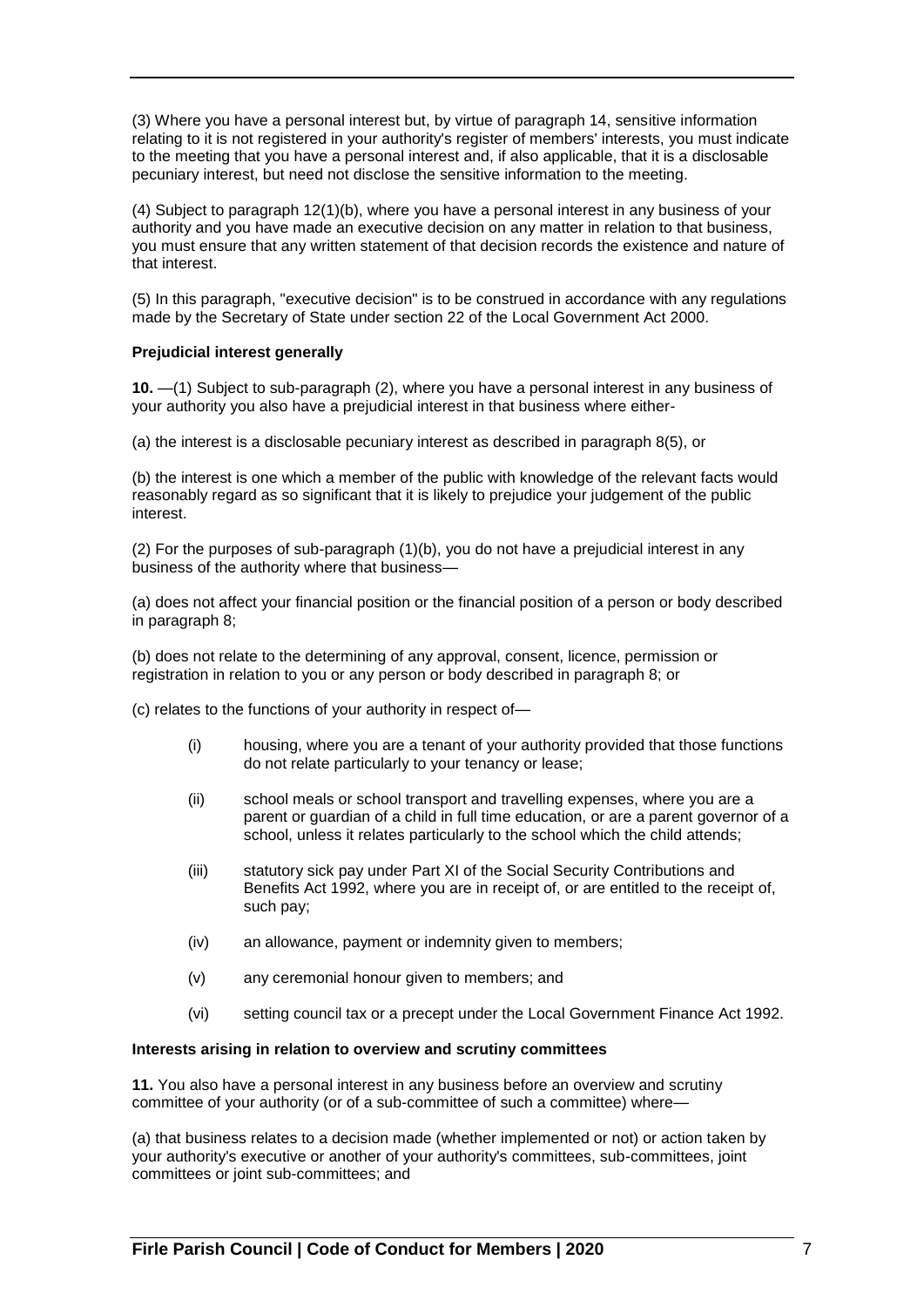(3) Where you have a personal interest but, by virtue of paragraph 14, sensitive information relating to it is not registered in your authority's register of members' interests, you must indicate to the meeting that you have a personal interest and, if also applicable, that it is a disclosable pecuniary interest, but need not disclose the sensitive information to the meeting.

(4) Subject to paragraph 12(1)(b), where you have a personal interest in any business of your authority and you have made an executive decision on any matter in relation to that business, you must ensure that any written statement of that decision records the existence and nature of that interest.

(5) In this paragraph, "executive decision" is to be construed in accordance with any regulations made by the Secretary of State under section 22 of the Local Government Act 2000.

### **Prejudicial interest generally**

**10.** —(1) Subject to sub-paragraph (2), where you have a personal interest in any business of your authority you also have a prejudicial interest in that business where either-

(a) the interest is a disclosable pecuniary interest as described in paragraph 8(5), or

(b) the interest is one which a member of the public with knowledge of the relevant facts would reasonably regard as so significant that it is likely to prejudice your judgement of the public interest.

(2) For the purposes of sub-paragraph (1)(b), you do not have a prejudicial interest in any business of the authority where that business—

(a) does not affect your financial position or the financial position of a person or body described in paragraph 8;

(b) does not relate to the determining of any approval, consent, licence, permission or registration in relation to you or any person or body described in paragraph 8; or

(c) relates to the functions of your authority in respect of—

- (i) housing, where you are a tenant of your authority provided that those functions do not relate particularly to your tenancy or lease;
- (ii) school meals or school transport and travelling expenses, where you are a parent or guardian of a child in full time education, or are a parent governor of a school, unless it relates particularly to the school which the child attends;
- (iii) statutory sick pay under Part XI of the Social Security Contributions and Benefits Act 1992, where you are in receipt of, or are entitled to the receipt of, such pay;
- (iv) an allowance, payment or indemnity given to members;
- (v) any ceremonial honour given to members; and
- (vi) setting council tax or a precept under the Local Government Finance Act 1992.

### **Interests arising in relation to overview and scrutiny committees**

**11.** You also have a personal interest in any business before an overview and scrutiny committee of your authority (or of a sub-committee of such a committee) where—

(a) that business relates to a decision made (whether implemented or not) or action taken by your authority's executive or another of your authority's committees, sub-committees, joint committees or joint sub-committees; and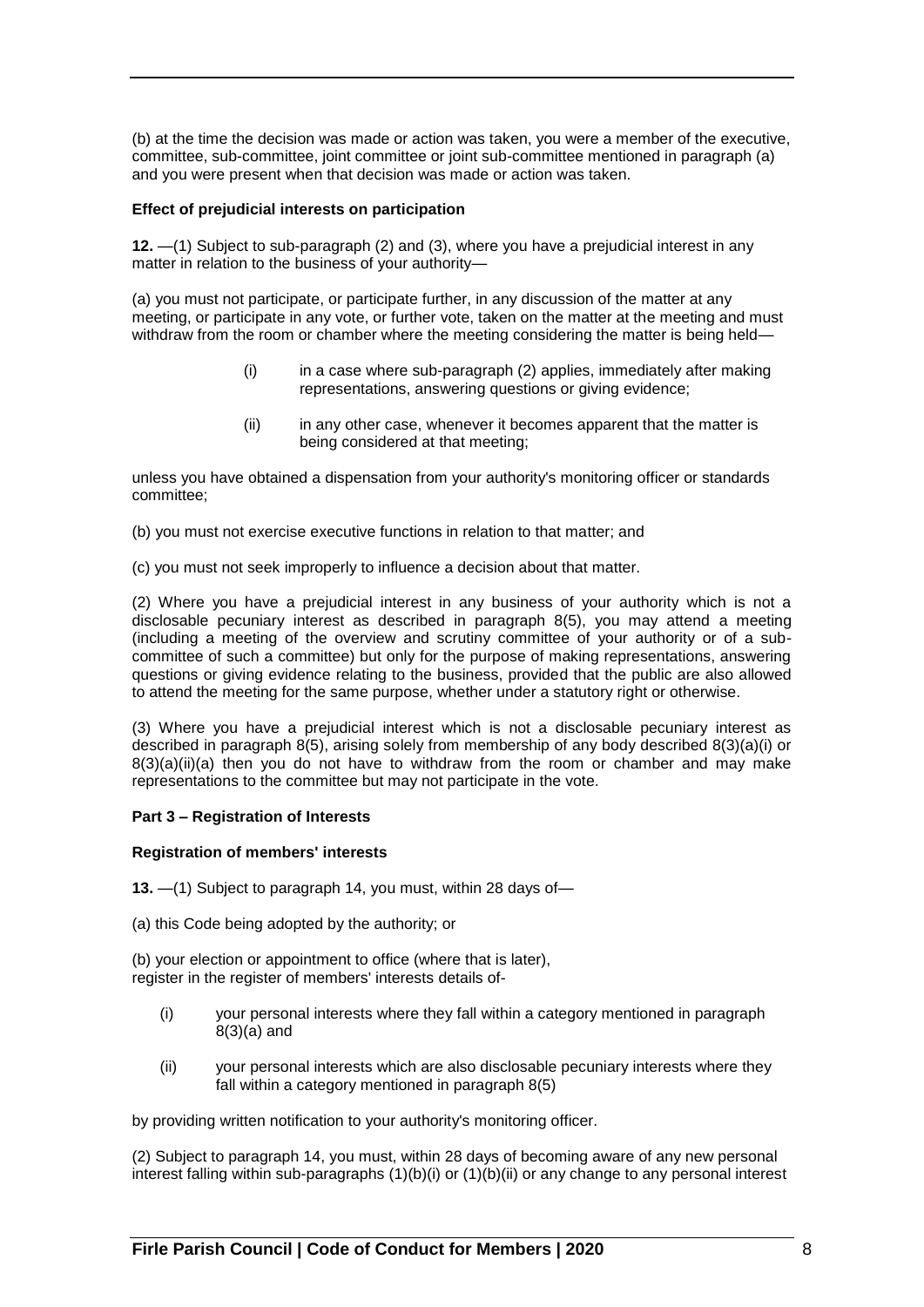(b) at the time the decision was made or action was taken, you were a member of the executive, committee, sub-committee, joint committee or joint sub-committee mentioned in paragraph (a) and you were present when that decision was made or action was taken.

### **Effect of prejudicial interests on participation**

**12.** —(1) Subject to sub-paragraph (2) and (3), where you have a prejudicial interest in any matter in relation to the business of your authority—

(a) you must not participate, or participate further, in any discussion of the matter at any meeting, or participate in any vote, or further vote, taken on the matter at the meeting and must withdraw from the room or chamber where the meeting considering the matter is being held—

- (i) in a case where sub-paragraph (2) applies, immediately after making representations, answering questions or giving evidence;
- (ii) in any other case, whenever it becomes apparent that the matter is being considered at that meeting;

unless you have obtained a dispensation from your authority's monitoring officer or standards committee;

(b) you must not exercise executive functions in relation to that matter; and

(c) you must not seek improperly to influence a decision about that matter.

(2) Where you have a prejudicial interest in any business of your authority which is not a disclosable pecuniary interest as described in paragraph 8(5), you may attend a meeting (including a meeting of the overview and scrutiny committee of your authority or of a subcommittee of such a committee) but only for the purpose of making representations, answering questions or giving evidence relating to the business, provided that the public are also allowed to attend the meeting for the same purpose, whether under a statutory right or otherwise.

(3) Where you have a prejudicial interest which is not a disclosable pecuniary interest as described in paragraph 8(5), arising solely from membership of any body described 8(3)(a)(i) or  $8(3)(a)(ii)(a)$  then you do not have to withdraw from the room or chamber and may make representations to the committee but may not participate in the vote.

# **Part 3 – Registration of Interests**

### **Registration of members' interests**

**13.** —(1) Subject to paragraph 14, you must, within 28 days of—

(a) this Code being adopted by the authority; or

(b) your election or appointment to office (where that is later), register in the register of members' interests details of-

- (i) your personal interests where they fall within a category mentioned in paragraph 8(3)(a) and
- (ii) your personal interests which are also disclosable pecuniary interests where they fall within a category mentioned in paragraph 8(5)

by providing written notification to your authority's monitoring officer.

(2) Subject to paragraph 14, you must, within 28 days of becoming aware of any new personal interest falling within sub-paragraphs (1)(b)(i) or (1)(b)(ii) or any change to any personal interest